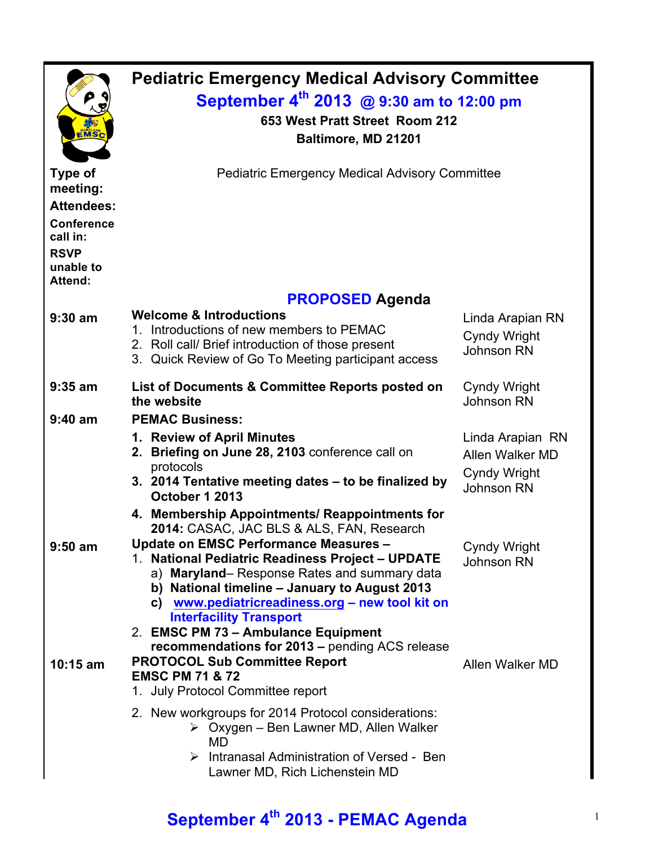| EMSC                                                                                                                           | <b>Pediatric Emergency Medical Advisory Committee</b><br>September 4 <sup>th</sup> 2013 @ 9:30 am to 12:00 pm<br>653 West Pratt Street Room 212<br>Baltimore, MD 21201                                                                                                                                                                                                      |                                                                          |  |  |
|--------------------------------------------------------------------------------------------------------------------------------|-----------------------------------------------------------------------------------------------------------------------------------------------------------------------------------------------------------------------------------------------------------------------------------------------------------------------------------------------------------------------------|--------------------------------------------------------------------------|--|--|
| <b>Type of</b><br>meeting:<br><b>Attendees:</b><br><b>Conference</b><br>call in:<br><b>RSVP</b><br>unable to<br><b>Attend:</b> | <b>Pediatric Emergency Medical Advisory Committee</b>                                                                                                                                                                                                                                                                                                                       |                                                                          |  |  |
|                                                                                                                                | <b>PROPOSED Agenda</b>                                                                                                                                                                                                                                                                                                                                                      |                                                                          |  |  |
| $9:30$ am                                                                                                                      | <b>Welcome &amp; Introductions</b><br>1. Introductions of new members to PEMAC<br>2. Roll call/ Brief introduction of those present<br>3. Quick Review of Go To Meeting participant access                                                                                                                                                                                  | Linda Arapian RN<br><b>Cyndy Wright</b><br><b>Johnson RN</b>             |  |  |
| $9:35$ am                                                                                                                      | List of Documents & Committee Reports posted on<br>the website                                                                                                                                                                                                                                                                                                              | <b>Cyndy Wright</b><br><b>Johnson RN</b>                                 |  |  |
| $9:40$ am                                                                                                                      | <b>PEMAC Business:</b><br>1. Review of April Minutes<br>Briefing on June 28, 2103 conference call on<br>protocols<br>3. 2014 Tentative meeting dates - to be finalized by<br>October 1 2013<br>4. Membership Appointments/ Reappointments for<br>2014: CASAC, JAC BLS & ALS, FAN, Research                                                                                  | Linda Arapian RN<br>Allen Walker MD<br>Cyndy Wright<br><b>Johnson RN</b> |  |  |
| $9:50$ am                                                                                                                      | Update on EMSC Performance Measures -<br><b>National Pediatric Readiness Project - UPDATE</b><br>a) Maryland–Response Rates and summary data<br>b) National timeline - January to August 2013<br>c) www.pediatricreadiness.org - new tool kit on<br><b>Interfacility Transport</b><br>2. EMSC PM 73 - Ambulance Equipment<br>recommendations for 2013 - pending ACS release | <b>Cyndy Wright</b><br><b>Johnson RN</b>                                 |  |  |
| $10:15$ am                                                                                                                     | <b>PROTOCOL Sub Committee Report</b><br><b>EMSC PM 71 &amp; 72</b><br>1. July Protocol Committee report<br>2. New workgroups for 2014 Protocol considerations:<br>$\triangleright$ Oxygen – Ben Lawner MD, Allen Walker<br>MD<br>$\triangleright$ Intranasal Administration of Versed - Ben                                                                                 | Allen Walker MD                                                          |  |  |
|                                                                                                                                | Lawner MD, Rich Lichenstein MD                                                                                                                                                                                                                                                                                                                                              |                                                                          |  |  |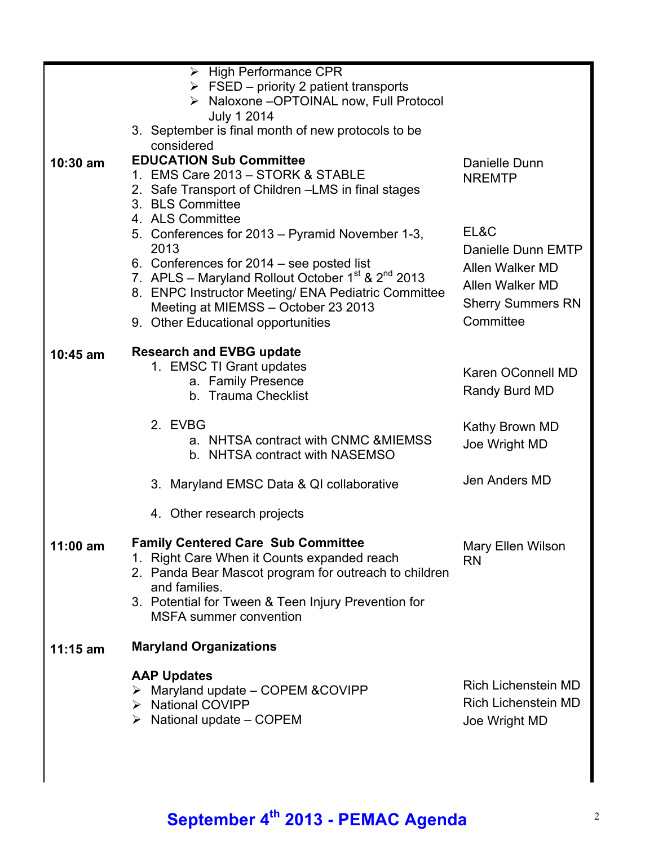|            | $\triangleright$ High Performance CPR<br>$\triangleright$ FSED – priority 2 patient transports                                                                                                                                                             |                                                                                                   |
|------------|------------------------------------------------------------------------------------------------------------------------------------------------------------------------------------------------------------------------------------------------------------|---------------------------------------------------------------------------------------------------|
|            | > Naloxone -OPTOINAL now, Full Protocol<br><b>July 1 2014</b>                                                                                                                                                                                              |                                                                                                   |
|            | 3. September is final month of new protocols to be                                                                                                                                                                                                         |                                                                                                   |
| $10:30$ am | considered<br><b>EDUCATION Sub Committee</b>                                                                                                                                                                                                               | Danielle Dunn                                                                                     |
|            | 1. EMS Care 2013 - STORK & STABLE<br>2. Safe Transport of Children - LMS in final stages<br>3. BLS Committee<br>4. ALS Committee                                                                                                                           | <b>NREMTP</b>                                                                                     |
|            | 5. Conferences for 2013 – Pyramid November 1-3,<br>2013                                                                                                                                                                                                    | EL&C                                                                                              |
|            | 6. Conferences for 2014 – see posted list<br>7. APLS – Maryland Rollout October $1^{st}$ & $2^{nd}$ 2013<br>8. ENPC Instructor Meeting/ ENA Pediatric Committee<br>Meeting at MIEMSS - October 23 2013<br>9. Other Educational opportunities               | Danielle Dunn EMTP<br>Allen Walker MD<br>Allen Walker MD<br><b>Sherry Summers RN</b><br>Committee |
| $10:45$ am | <b>Research and EVBG update</b><br>1. EMSC TI Grant updates<br>a. Family Presence<br>b. Trauma Checklist                                                                                                                                                   | Karen OConnell MD<br>Randy Burd MD                                                                |
|            | 2. EVBG<br>a. NHTSA contract with CNMC & MIEMSS<br>b. NHTSA contract with NASEMSO                                                                                                                                                                          | Kathy Brown MD<br>Joe Wright MD                                                                   |
|            | 3. Maryland EMSC Data & QI collaborative                                                                                                                                                                                                                   | Jen Anders MD                                                                                     |
|            | 4. Other research projects                                                                                                                                                                                                                                 |                                                                                                   |
| 11:00 am   | <b>Family Centered Care Sub Committee</b><br>1. Right Care When it Counts expanded reach<br>2. Panda Bear Mascot program for outreach to children<br>and families.<br>3. Potential for Tween & Teen Injury Prevention for<br><b>MSFA</b> summer convention | Mary Ellen Wilson<br><b>RN</b>                                                                    |
| $11:15$ am | <b>Maryland Organizations</b>                                                                                                                                                                                                                              |                                                                                                   |
|            | <b>AAP Updates</b><br>$\triangleright$ Maryland update – COPEM & COVIPP<br>> National COVIPP<br>$\triangleright$ National update – COPEM                                                                                                                   | <b>Rich Lichenstein MD</b><br><b>Rich Lichenstein MD</b><br>Joe Wright MD                         |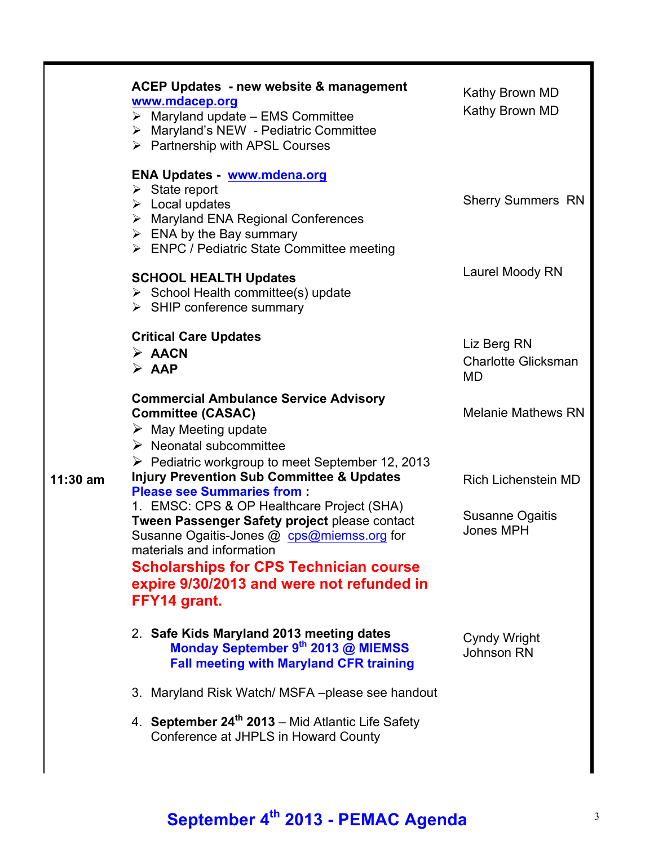|            | <b>ACEP Updates - new website &amp; management</b><br>www.mdacep.org<br>$\triangleright$ Maryland update - EMS Committee<br>> Maryland's NEW - Pediatric Committee<br>> Partnership with APSL Courses                                                                                                                                                                                   | Kathy Brown MD<br>Kathy Brown MD                                  |
|------------|-----------------------------------------------------------------------------------------------------------------------------------------------------------------------------------------------------------------------------------------------------------------------------------------------------------------------------------------------------------------------------------------|-------------------------------------------------------------------|
|            | <b>ENA Updates - www.mdena.org</b><br>$\triangleright$ State report<br>$\triangleright$ Local updates<br>> Maryland ENA Regional Conferences<br>$\triangleright$ ENA by the Bay summary<br>> ENPC / Pediatric State Committee meeting                                                                                                                                                   | <b>Sherry Summers RN</b>                                          |
|            | <b>SCHOOL HEALTH Updates</b><br>$\triangleright$ School Health committee(s) update<br>$\triangleright$ SHIP conference summary                                                                                                                                                                                                                                                          | Laurel Moody RN                                                   |
|            | <b>Critical Care Updates</b><br>$\triangleright$ AACN<br>$\triangleright$ AAP                                                                                                                                                                                                                                                                                                           | Liz Berg RN<br><b>Charlotte Glicksman</b><br>MD                   |
|            | <b>Commercial Ambulance Service Advisory</b><br><b>Committee (CASAC)</b><br>$\triangleright$ May Meeting update<br>$\triangleright$ Neonatal subcommittee                                                                                                                                                                                                                               | <b>Melanie Mathews RN</b>                                         |
| $11:30$ am | $\triangleright$ Pediatric workgroup to meet September 12, 2013<br><b>Injury Prevention Sub Committee &amp; Updates</b><br><b>Please see Summaries from:</b><br>1. EMSC: CPS & OP Healthcare Project (SHA)<br>Tween Passenger Safety project please contact<br>Susanne Ogaitis-Jones @ cps@miemss.org for<br>materials and information<br><b>Scholarships for CPS Technician course</b> | <b>Rich Lichenstein MD</b><br>Susanne Ogaitis<br><b>Jones MPH</b> |
|            | expire 9/30/2013 and were not refunded in<br>FFY14 grant.<br>2. Safe Kids Maryland 2013 meeting dates<br>Monday September 9th 2013 @ MIEMSS                                                                                                                                                                                                                                             | Cyndy Wright<br>Johnson RN                                        |
|            | <b>Fall meeting with Maryland CFR training</b><br>3. Maryland Risk Watch/ MSFA-please see handout<br>4. September 24 <sup>th</sup> 2013 – Mid Atlantic Life Safety<br>Conference at JHPLS in Howard County                                                                                                                                                                              |                                                                   |